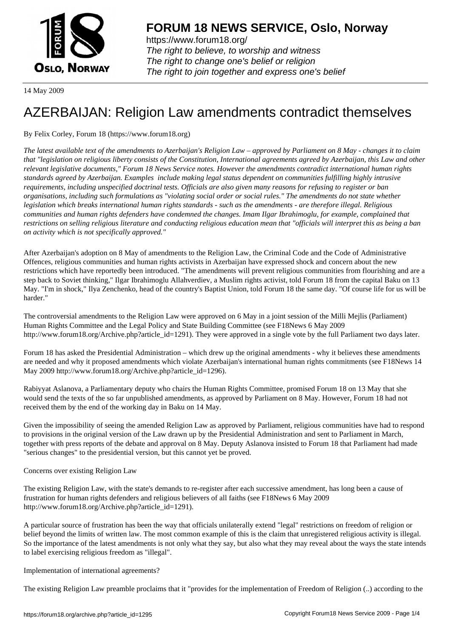

https://www.forum18.org/ The right to believe, to worship and witness The right to change one's belief or religion [The right to join together a](https://www.forum18.org/)nd express one's belief

14 May 2009

# [AZERBAIJAN: R](https://www.forum18.org)eligion Law amendments contradict themselves

By Felix Corley, Forum 18 (https://www.forum18.org)

*The latest available text of the amendments to Azerbaijan's Religion Law – approved by Parliament on 8 May - changes it to claim that "legislation on religious liberty consists of the Constitution, International agreements agreed by Azerbaijan, this Law and other relevant legislative documents," Forum 18 News Service notes. However the amendments contradict international human rights standards agreed by Azerbaijan. Examples include making legal status dependent on communities fulfilling highly intrusive requirements, including unspecified doctrinal tests. Officials are also given many reasons for refusing to register or ban organisations, including such formulations as "violating social order or social rules." The amendments do not state whether legislation which breaks international human rights standards such as the amendments are therefore illegal. Religious communities and human rights defenders have condemned the changes. Imam Ilgar Ibrahimoglu, for example, complained that restrictions on selling religious literature and conducting religious education mean that "officials will interpret this as being a ban on activity which is not specifically approved."*

After Azerbaijan's adoption on 8 May of amendments to the Religion Law, the Criminal Code and the Code of Administrative Offences, religious communities and human rights activists in Azerbaijan have expressed shock and concern about the new restrictions which have reportedly been introduced. "The amendments will prevent religious communities from flourishing and are a step back to Soviet thinking," Ilgar Ibrahimoglu Allahverdiev, a Muslim rights activist, told Forum 18 from the capital Baku on 13 May. "I'm in shock," Ilya Zenchenko, head of the country's Baptist Union, told Forum 18 the same day. "Of course life for us will be harder."

The controversial amendments to the Religion Law were approved on 6 May in a joint session of the Milli Mejlis (Parliament) Human Rights Committee and the Legal Policy and State Building Committee (see F18News 6 May 2009 http://www.forum18.org/Archive.php?article\_id=1291). They were approved in a single vote by the full Parliament two days later.

Forum 18 has asked the Presidential Administration – which drew up the original amendments - why it believes these amendments are needed and why it proposed amendments which violate Azerbaijan's international human rights commitments (see F18News 14 May 2009 http://www.forum18.org/Archive.php?article\_id=1296).

Rabiyyat Aslanova, a Parliamentary deputy who chairs the Human Rights Committee, promised Forum 18 on 13 May that she would send the texts of the so far unpublished amendments, as approved by Parliament on 8 May. However, Forum 18 had not received them by the end of the working day in Baku on 14 May.

Given the impossibility of seeing the amended Religion Law as approved by Parliament, religious communities have had to respond to provisions in the original version of the Law drawn up by the Presidential Administration and sent to Parliament in March, together with press reports of the debate and approval on 8 May. Deputy Aslanova insisted to Forum 18 that Parliament had made "serious changes" to the presidential version, but this cannot yet be proved.

# Concerns over existing Religion Law

The existing Religion Law, with the state's demands to re-register after each successive amendment, has long been a cause of frustration for human rights defenders and religious believers of all faiths (see F18News 6 May 2009 http://www.forum18.org/Archive.php?article\_id=1291).

A particular source of frustration has been the way that officials unilaterally extend "legal" restrictions on freedom of religion or belief beyond the limits of written law. The most common example of this is the claim that unregistered religious activity is illegal. So the importance of the latest amendments is not only what they say, but also what they may reveal about the ways the state intends to label exercising religious freedom as "illegal".

## Implementation of international agreements?

The existing Religion Law preamble proclaims that it "provides for the implementation of Freedom of Religion (..) according to the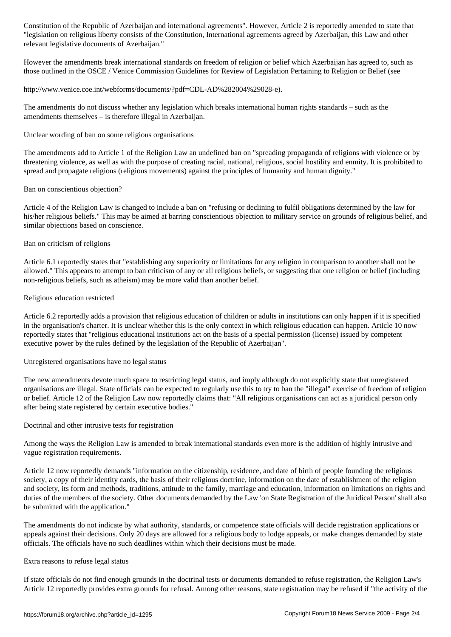"legislation on religious liberty consists of the Constitution, International agreements agreed by Azerbaijan, this Law and other relevant legislative documents of Azerbaijan."

However the amendments break international standards on freedom of religion or belief which Azerbaijan has agreed to, such as those outlined in the OSCE / Venice Commission Guidelines for Review of Legislation Pertaining to Religion or Belief (see

http://www.venice.coe.int/webforms/documents/?pdf=CDL-AD%282004%29028-e).

The amendments do not discuss whether any legislation which breaks international human rights standards – such as the amendments themselves – is therefore illegal in Azerbaijan.

Unclear wording of ban on some religious organisations

The amendments add to Article 1 of the Religion Law an undefined ban on "spreading propaganda of religions with violence or by threatening violence, as well as with the purpose of creating racial, national, religious, social hostility and enmity. It is prohibited to spread and propagate religions (religious movements) against the principles of humanity and human dignity."

Ban on conscientious objection?

Article 4 of the Religion Law is changed to include a ban on "refusing or declining to fulfil obligations determined by the law for his/her religious beliefs." This may be aimed at barring conscientious objection to military service on grounds of religious belief, and similar objections based on conscience.

### Ban on criticism of religions

Article 6.1 reportedly states that "establishing any superiority or limitations for any religion in comparison to another shall not be allowed." This appears to attempt to ban criticism of any or all religious beliefs, or suggesting that one religion or belief (including non-religious beliefs, such as atheism) may be more valid than another belief.

### Religious education restricted

Article 6.2 reportedly adds a provision that religious education of children or adults in institutions can only happen if it is specified in the organisation's charter. It is unclear whether this is the only context in which religious education can happen. Article 10 now reportedly states that "religious educational institutions act on the basis of a special permission (license) issued by competent executive power by the rules defined by the legislation of the Republic of Azerbaijan".

Unregistered organisations have no legal status

The new amendments devote much space to restricting legal status, and imply although do not explicitly state that unregistered organisations are illegal. State officials can be expected to regularly use this to try to ban the "illegal" exercise of freedom of religion or belief. Article 12 of the Religion Law now reportedly claims that: "All religious organisations can act as a juridical person only after being state registered by certain executive bodies."

Doctrinal and other intrusive tests for registration

Among the ways the Religion Law is amended to break international standards even more is the addition of highly intrusive and vague registration requirements.

Article 12 now reportedly demands "information on the citizenship, residence, and date of birth of people founding the religious society, a copy of their identity cards, the basis of their religious doctrine, information on the date of establishment of the religion and society, its form and methods, traditions, attitude to the family, marriage and education, information on limitations on rights and duties of the members of the society. Other documents demanded by the Law 'on State Registration of the Juridical Person' shall also be submitted with the application."

The amendments do not indicate by what authority, standards, or competence state officials will decide registration applications or appeals against their decisions. Only 20 days are allowed for a religious body to lodge appeals, or make changes demanded by state officials. The officials have no such deadlines within which their decisions must be made.

#### Extra reasons to refuse legal status

If state officials do not find enough grounds in the doctrinal tests or documents demanded to refuse registration, the Religion Law's Article 12 reportedly provides extra grounds for refusal. Among other reasons, state registration may be refused if "the activity of the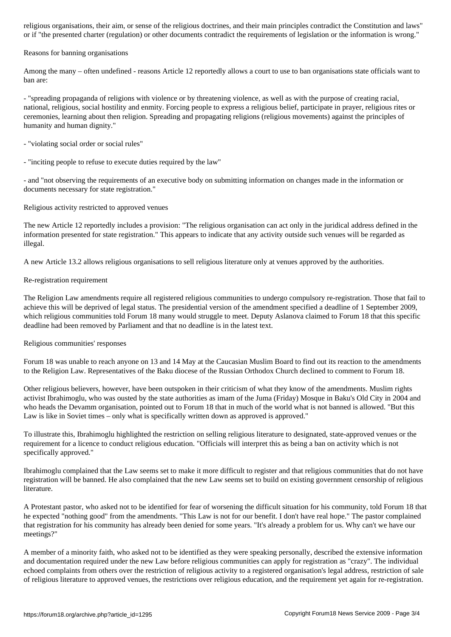or if "the presented charter (regulation) or other documents contradict the requirements of legislation or the information is wrong."

#### Reasons for banning organisations

Among the many – often undefined - reasons Article 12 reportedly allows a court to use to ban organisations state officials want to ban are:

- "spreading propaganda of religions with violence or by threatening violence, as well as with the purpose of creating racial, national, religious, social hostility and enmity. Forcing people to express a religious belief, participate in prayer, religious rites or ceremonies, learning about then religion. Spreading and propagating religions (religious movements) against the principles of humanity and human dignity."

- "violating social order or social rules"

- "inciting people to refuse to execute duties required by the law"

- and "not observing the requirements of an executive body on submitting information on changes made in the information or documents necessary for state registration."

#### Religious activity restricted to approved venues

The new Article 12 reportedly includes a provision: "The religious organisation can act only in the juridical address defined in the information presented for state registration." This appears to indicate that any activity outside such venues will be regarded as illegal.

A new Article 13.2 allows religious organisations to sell religious literature only at venues approved by the authorities.

#### Re-registration requirement

The Religion Law amendments require all registered religious communities to undergo compulsory re-registration. Those that fail to achieve this will be deprived of legal status. The presidential version of the amendment specified a deadline of 1 September 2009, which religious communities told Forum 18 many would struggle to meet. Deputy Aslanova claimed to Forum 18 that this specific deadline had been removed by Parliament and that no deadline is in the latest text.

#### Religious communities' responses

Forum 18 was unable to reach anyone on 13 and 14 May at the Caucasian Muslim Board to find out its reaction to the amendments to the Religion Law. Representatives of the Baku diocese of the Russian Orthodox Church declined to comment to Forum 18.

Other religious believers, however, have been outspoken in their criticism of what they know of the amendments. Muslim rights activist Ibrahimoglu, who was ousted by the state authorities as imam of the Juma (Friday) Mosque in Baku's Old City in 2004 and who heads the Devamm organisation, pointed out to Forum 18 that in much of the world what is not banned is allowed. "But this Law is like in Soviet times – only what is specifically written down as approved is approved."

To illustrate this, Ibrahimoglu highlighted the restriction on selling religious literature to designated, state-approved venues or the requirement for a licence to conduct religious education. "Officials will interpret this as being a ban on activity which is not specifically approved."

Ibrahimoglu complained that the Law seems set to make it more difficult to register and that religious communities that do not have registration will be banned. He also complained that the new Law seems set to build on existing government censorship of religious literature.

A Protestant pastor, who asked not to be identified for fear of worsening the difficult situation for his community, told Forum 18 that he expected "nothing good" from the amendments. "This Law is not for our benefit. I don't have real hope." The pastor complained that registration for his community has already been denied for some years. "It's already a problem for us. Why can't we have our meetings?"

A member of a minority faith, who asked not to be identified as they were speaking personally, described the extensive information and documentation required under the new Law before religious communities can apply for registration as "crazy". The individual echoed complaints from others over the restriction of religious activity to a registered organisation's legal address, restriction of sale of religious literature to approved venues, the restrictions over religious education, and the requirement yet again for re-registration.